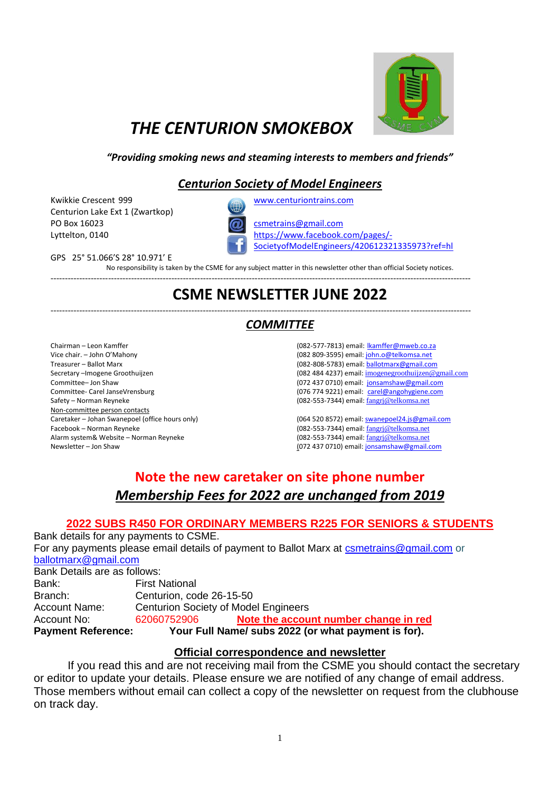

# *THE CENTURION SMOKEBOX*

#### *"Providing smoking news and steaming interests to members and friends"*

### *Centurion Society of Model Engineers*

Kwikkie Crescent 999 [www.centuriontrains.com](http://www.centuriontrains.com/) Centurion Lake Ext 1 (Zwartkop) PO Box 16023 [csmetrains@gmail.com](mailto:csmetrains@gmail.com)



Lyttelton, 0140 [https://www.facebook.com/pages/-](https://www.facebook.com/pages/-SocietyofModelEngineers/420612321335973?ref=hl) [SocietyofModelEngineers/420612321335973?ref=hl](https://www.facebook.com/pages/-SocietyofModelEngineers/420612321335973?ref=hl)

GPS 25° 51.066'S 28° 10.971' E

No responsibility is taken by the CSME for any subject matter in this newsletter other than official Society notices.

--------------------------------------------------------------------------------------------------------------------------------------------------

# **CSME NEWSLETTER JUNE 2022**

#### -------------------------------------------------------------------------------------------------------------------------------------------------- *COMMITTEE*

Chairman – Leon Kamffer Vice chair. – John O'Mahony Treasurer – Ballot Marx Secretary –Imogene Groothuijzen Committee– Jon Shaw Committee- Carel JanseVrensburg Safety – Norman Reyneke Non-committee person contacts Caretaker – Johan Swanepoel (office hours only) Facebook – Norman Reyneke Alarm system& Website – Norman Reyneke Newsletter – Jon Shaw

(082-577-7813) email: [lkamffer@mweb.co.za](mailto:lkamffer@mweb.co.za) (082 809-3595) email[: john.o@telkomsa.net](mailto:john.o@telkomsa.net) (082-808-5783) email[: ballotmarx@gmail.com](mailto:ballotmarx@gmail.com) (082 484 4237) email: [imogenegroothuijzen@gmail.com](mailto:imogenegroothuijzen@gmail.com) (072 437 0710) email: [jonsamshaw@gmail.com](mailto:jonsamshaw@gmail.com) (076 774 9221) email: [carel@angohygiene.com](mailto:carel@angohygiene.com) (082-553-7344) email: [fangrj@telkomsa.net](mailto:fangrj@telkomsa.net)

[\(064 520 8572\)](mailto:064%20520%208572) email: [swanepoel24.js@gmail.com](mailto:swanepoel24.js@gmail.com) (082-553-7344) email: [fangrj@telkomsa.net](mailto:fangrj@telkomsa.net) (082-553-7344) email: [fangrj@telkomsa.net](mailto:fangrj@telkomsa.net) (072 437 0710) email[: jonsamshaw@gmail.com](mailto:jonsamshaw@gmail.com) 

### **Note the new caretaker on site phone number** *Membership Fees for 2022 are unchanged from 2019*

### **2022 SUBS R450 FOR ORDINARY MEMBERS R225 FOR SENIORS & STUDENTS**

Bank details for any payments to CSME. For any payments please email details of payment to Ballot Marx at [csmetrains@gmail.com](mailto:csmetrains@gmail.com) or [ballotmarx@gmail.com](mailto:ballotmarx@gmail.com) Bank Details are as follows:

| Bank:                     | <b>First National</b>                       |                                                     |
|---------------------------|---------------------------------------------|-----------------------------------------------------|
| Branch:                   | Centurion, code 26-15-50                    |                                                     |
| <b>Account Name:</b>      | <b>Centurion Society of Model Engineers</b> |                                                     |
| Account No:               | 62060752906                                 | Note the account number change in red               |
| <b>Payment Reference:</b> |                                             | Your Full Name/ subs 2022 (or what payment is for). |

#### **Official correspondence and newsletter**

If you read this and are not receiving mail from the CSME you should contact the secretary or editor to update your details. Please ensure we are notified of any change of email address. Those members without email can collect a copy of the newsletter on request from the clubhouse on track day.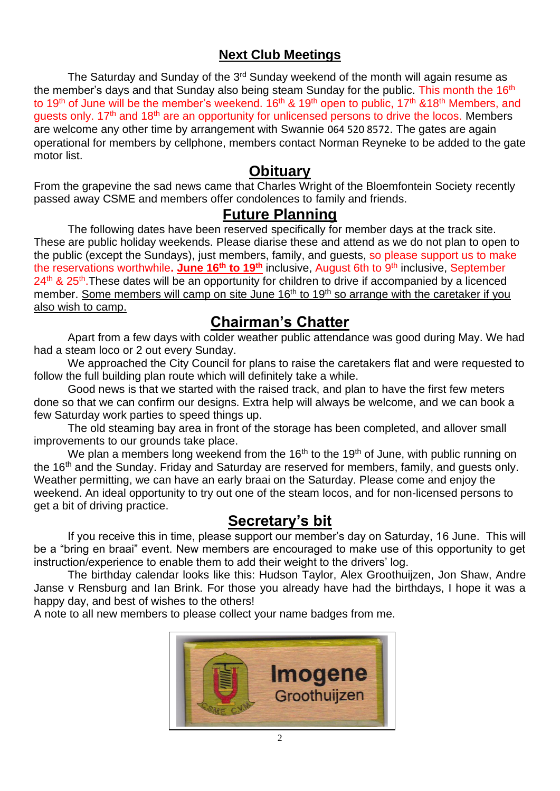### **Next Club Meetings**

The Saturday and Sunday of the 3<sup>rd</sup> Sunday weekend of the month will again resume as the member's days and that Sunday also being steam Sunday for the public. This month the 16<sup>th</sup> to 19<sup>th</sup> of June will be the member's weekend. 16<sup>th</sup> & 19<sup>th</sup> open to public, 17<sup>th</sup> &18<sup>th</sup> Members, and guests only. 17<sup>th</sup> and 18<sup>th</sup> are an opportunity for unlicensed persons to drive the locos. Members are welcome any other time by arrangement with Swannie [064 520 8572](mailto:064%20520%208572). The gates are again operational for members by cellphone, members contact Norman Reyneke to be added to the gate motor list.

### **Obituary**

From the grapevine the sad news came that Charles Wright of the Bloemfontein Society recently passed away CSME and members offer condolences to family and friends.

### **Future Planning**

The following dates have been reserved specifically for member days at the track site. These are public holiday weekends. Please diarise these and attend as we do not plan to open to the public (except the Sundays), just members, family, and guests, so please support us to make the reservations worthwhile**. June 16th to 19th** inclusive, August 6th to 9th inclusive, September 24<sup>th</sup> & 25<sup>th</sup>. These dates will be an opportunity for children to drive if accompanied by a licenced member. Some members will camp on site June 16<sup>th</sup> to 19<sup>th</sup> so arrange with the caretaker if you also wish to camp.

## **Chairman's Chatter**

Apart from a few days with colder weather public attendance was good during May. We had had a steam loco or 2 out every Sunday.

We approached the City Council for plans to raise the caretakers flat and were requested to follow the full building plan route which will definitely take a while.

Good news is that we started with the raised track, and plan to have the first few meters done so that we can confirm our designs. Extra help will always be welcome, and we can book a few Saturday work parties to speed things up.

The old steaming bay area in front of the storage has been completed, and allover small improvements to our grounds take place.

We plan a members long weekend from the 16<sup>th</sup> to the 19<sup>th</sup> of June, with public running on the 16th and the Sunday. Friday and Saturday are reserved for members, family, and guests only. Weather permitting, we can have an early braai on the Saturday. Please come and enjoy the weekend. An ideal opportunity to try out one of the steam locos, and for non-licensed persons to get a bit of driving practice.

## **Secretary's bit**

If you receive this in time, please support our member's day on Saturday, 16 June. This will be a "bring en braai" event. New members are encouraged to make use of this opportunity to get instruction/experience to enable them to add their weight to the drivers' log.

The birthday calendar looks like this: Hudson Taylor, Alex Groothuijzen, Jon Shaw, Andre Janse v Rensburg and Ian Brink. For those you already have had the birthdays, I hope it was a happy day, and best of wishes to the others!

A note to all new members to please collect your name badges from me.

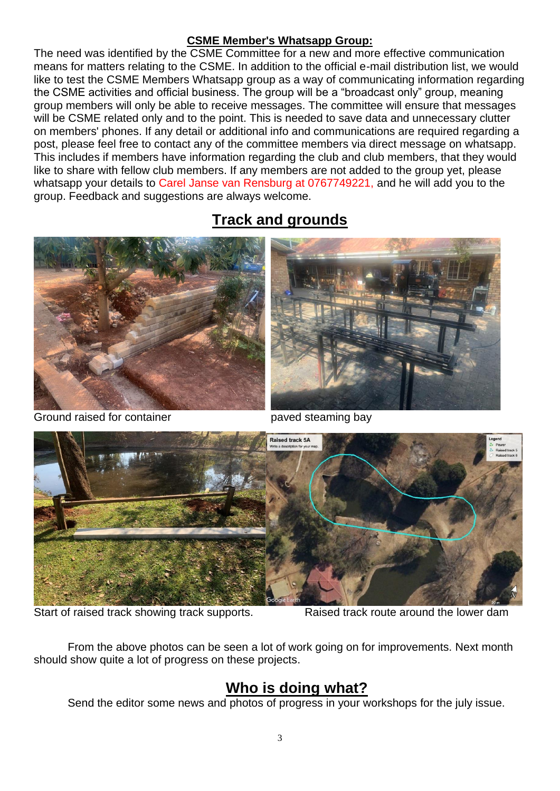### **CSME Member's Whatsapp Group:**

The need was identified by the CSME Committee for a new and more effective communication means for matters relating to the CSME. In addition to the official e-mail distribution list, we would like to test the CSME Members Whatsapp group as a way of communicating information regarding the CSME activities and official business. The group will be a "broadcast only" group, meaning group members will only be able to receive messages. The committee will ensure that messages will be CSME related only and to the point. This is needed to save data and unnecessary clutter on members' phones. If any detail or additional info and communications are required regarding a post, please feel free to contact any of the committee members via direct message on whatsapp. This includes if members have information regarding the club and club members, that they would like to share with fellow club members. If any members are not added to the group yet, please whatsapp your details to Carel Janse van Rensburg at 0767749221, and he will add you to the group. Feedback and suggestions are always welcome.

# **Track and grounds**



Ground raised for container **payed steaming bay** 





Start of raised track showing track supports. Raised track route around the lower dam

From the above photos can be seen a lot of work going on for improvements. Next month should show quite a lot of progress on these projects.

# **Who is doing what?**

Send the editor some news and photos of progress in your workshops for the july issue.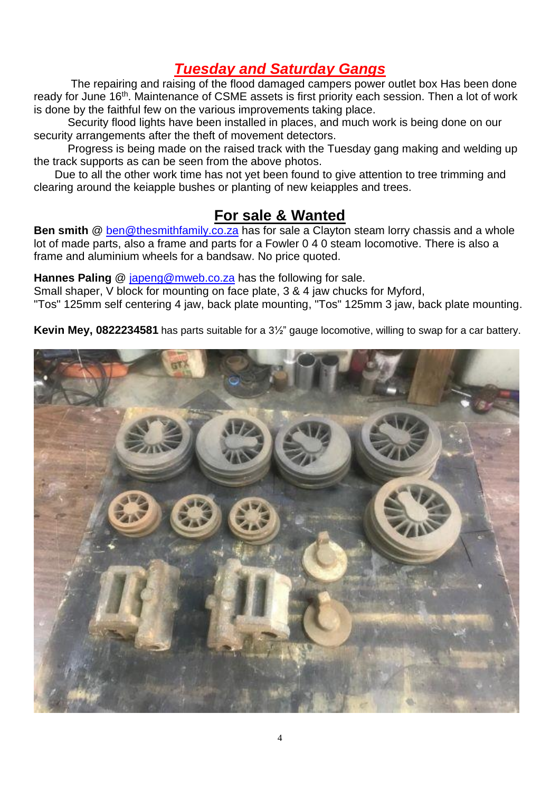## *Tuesday and Saturday Gangs*

The repairing and raising of the flood damaged campers power outlet box Has been done ready for June 16<sup>th</sup>. Maintenance of CSME assets is first priority each session. Then a lot of work is done by the faithful few on the various improvements taking place.

Security flood lights have been installed in places, and much work is being done on our security arrangements after the theft of movement detectors.

Progress is being made on the raised track with the Tuesday gang making and welding up the track supports as can be seen from the above photos.

 Due to all the other work time has not yet been found to give attention to tree trimming and clearing around the keiapple bushes or planting of new keiapples and trees.

## **For sale & Wanted**

**Ben smith** @ [ben@thesmithfamily.co.za](mailto:ben@thesmithfamily.co.za) has for sale a Clayton steam lorry chassis and a whole lot of made parts, also a frame and parts for a Fowler 0 4 0 steam locomotive. There is also a frame and aluminium wheels for a bandsaw. No price quoted.

**Hannes Paling** @ [japeng@mweb.co.za](mailto:japeng@mweb.co.za) has the following for sale.

Small shaper, V block for mounting on face plate, 3 & 4 jaw chucks for Myford,

"Tos" 125mm self centering 4 jaw, back plate mounting, "Tos" 125mm 3 jaw, back plate mounting.

**Kevin Mey, 0822234581** has parts suitable for a 3½" gauge locomotive, willing to swap for a car battery.